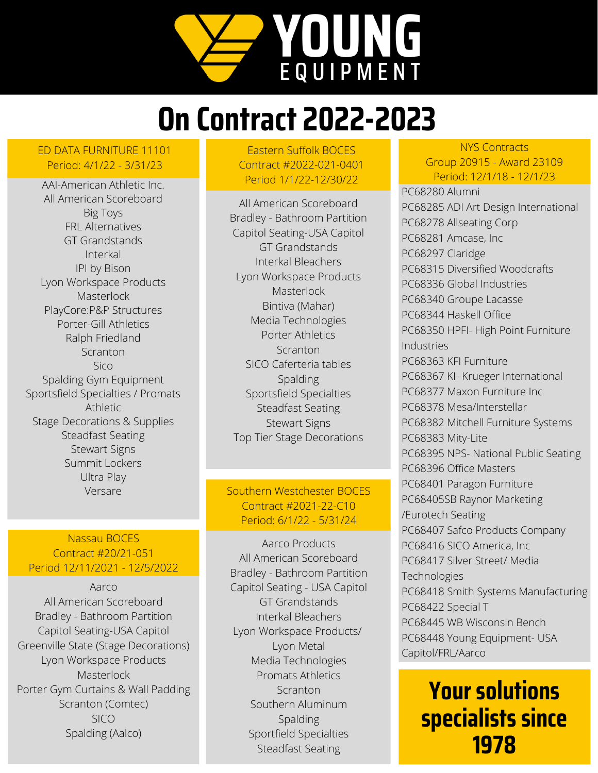

# **On Contract 2022-2023**

### ED DATA FURNITURE 11101 Period: 4/1/22 - 3/31/23

AAI-American Athletic Inc. All American Scoreboard Big Toys FRL Alternatives GT Grandstands Interkal IPI by Bison Lyon Workspace Products **Masterlock** PlayCore:P&P Structures Porter-Gill Athletics Ralph Friedland **Scranton** Sico Spalding Gym Equipment Sportsfield Specialties / Promats Athletic Stage Decorations & Supplies Steadfast Seating Stewart Signs Summit Lockers Ultra Play Versare

### Eastern Suffolk BOCES Contract #2022-021-0401 Period 1/1/22-12/30/22

All American Scoreboard Bradley - Bathroom Partition Capitol Seating-USA Capitol GT Grandstands Interkal Bleachers Lyon Workspace Products Masterlock Bintiva (Mahar) Media Technologies Porter Athletics Scranton SICO Caferteria tables Spalding Sportsfield Specialties Steadfast Seating Stewart Signs Top Tier Stage Decorations

### Southern Westchester BOCES Contract #2021-22-C10 Period: 6/1/22 - 5/31/24

Aarco Products All American Scoreboard Bradley - Bathroom Partition Capitol Seating - USA Capitol GT Grandstands Interkal Bleachers Lyon Workspace Products/ Lyon Metal Media Technologies Promats Athletics Scranton Southern Aluminum Spalding Sportfield Specialties Steadfast Seating

### NYS Contracts Group 20915 - Award 23109 Period: 12/1/18 - 12/1/23

PC68280 Alumni PC68285 ADI Art Design International PC68278 Allseating Corp PC68281 Amcase, Inc PC68297 Claridge PC68315 Diversified Woodcrafts PC68336 Global Industries PC68340 Groupe Lacasse PC68344 Haskell Office PC68350 HPFI- High Point Furniture Industries PC68363 KFI Furniture PC68367 KI- Krueger International PC68377 Maxon Furniture Inc PC68378 Mesa/Interstellar PC68382 Mitchell Furniture Systems PC68383 Mity-Lite PC68395 NPS- National Public Seating PC68396 Office Masters PC68401 Paragon Furniture PC68405SB Raynor Marketing /Eurotech Seating PC68407 Safco Products Company PC68416 SICO America, Inc PC68417 Silver Street/ Media Technologies PC68418 Smith Systems Manufacturing PC68422 Special T PC68445 WB Wisconsin Bench PC68448 Young Equipment- USA Capitol/FRL/Aarco

### **Your solutions specialists since 1978**

### Nassau BOCES Contract #20/21-051 Period 12/11/2021 - 12/5/2022

Aarco All American Scoreboard Bradley - Bathroom Partition Capitol Seating-USA Capitol Greenville State (Stage Decorations) Lyon Workspace Products **Masterlock** Porter Gym Curtains & Wall Padding Scranton (Comtec) SICO Spalding (Aalco)